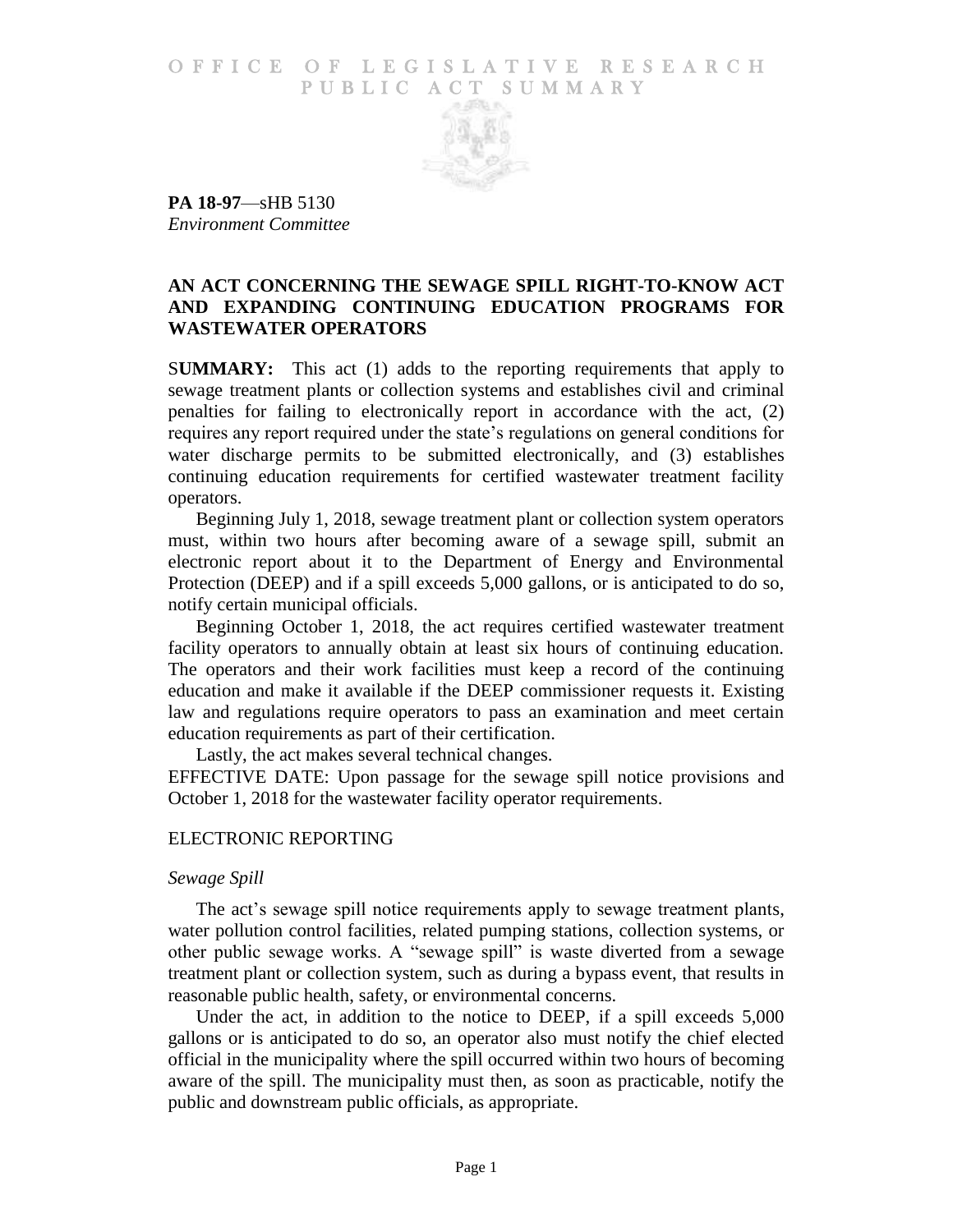## O F FICE OF LEGISLATIVE RESEARCH PUBLIC ACT SUMMARY



**PA 18-97**—sHB 5130 *Environment Committee*

# **AN ACT CONCERNING THE SEWAGE SPILL RIGHT-TO-KNOW ACT AND EXPANDING CONTINUING EDUCATION PROGRAMS FOR WASTEWATER OPERATORS**

S**UMMARY:** This act (1) adds to the reporting requirements that apply to sewage treatment plants or collection systems and establishes civil and criminal penalties for failing to electronically report in accordance with the act, (2) requires any report required under the state's regulations on general conditions for water discharge permits to be submitted electronically, and (3) establishes continuing education requirements for certified wastewater treatment facility operators.

Beginning July 1, 2018, sewage treatment plant or collection system operators must, within two hours after becoming aware of a sewage spill, submit an electronic report about it to the Department of Energy and Environmental Protection (DEEP) and if a spill exceeds 5,000 gallons, or is anticipated to do so, notify certain municipal officials.

Beginning October 1, 2018, the act requires certified wastewater treatment facility operators to annually obtain at least six hours of continuing education. The operators and their work facilities must keep a record of the continuing education and make it available if the DEEP commissioner requests it. Existing law and regulations require operators to pass an examination and meet certain education requirements as part of their certification.

Lastly, the act makes several technical changes.

EFFECTIVE DATE: Upon passage for the sewage spill notice provisions and October 1, 2018 for the wastewater facility operator requirements.

## ELECTRONIC REPORTING

#### *Sewage Spill*

The act's sewage spill notice requirements apply to sewage treatment plants, water pollution control facilities, related pumping stations, collection systems, or other public sewage works. A "sewage spill" is waste diverted from a sewage treatment plant or collection system, such as during a bypass event, that results in reasonable public health, safety, or environmental concerns.

Under the act, in addition to the notice to DEEP, if a spill exceeds 5,000 gallons or is anticipated to do so, an operator also must notify the chief elected official in the municipality where the spill occurred within two hours of becoming aware of the spill. The municipality must then, as soon as practicable, notify the public and downstream public officials, as appropriate.